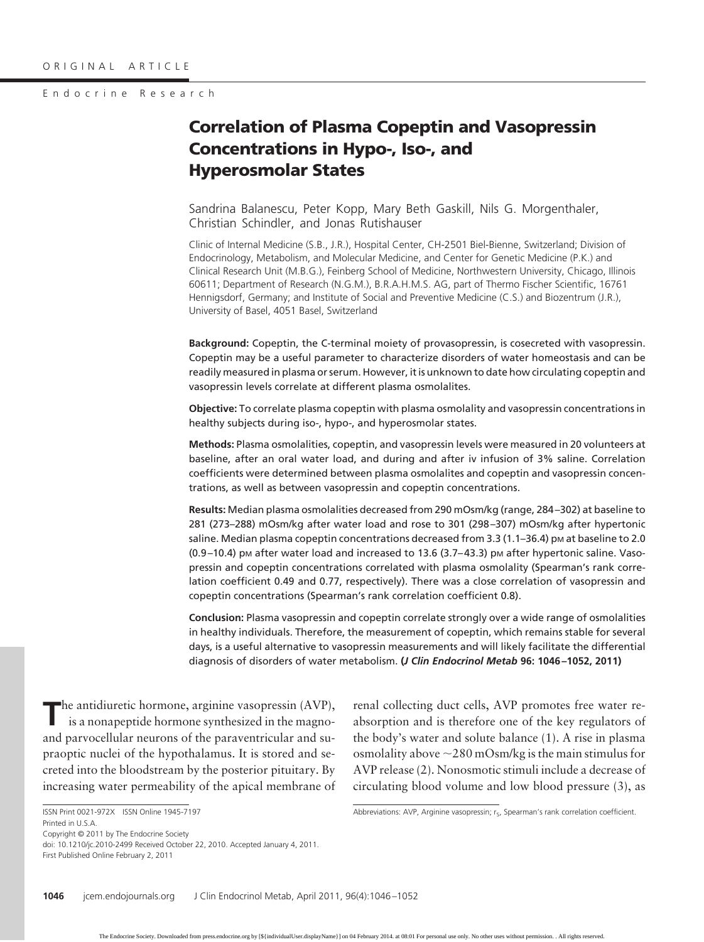#### Endocrine Research

# **Correlation of Plasma Copeptin and Vasopressin Concentrations in Hypo-, Iso-, and Hyperosmolar States**

Sandrina Balanescu, Peter Kopp, Mary Beth Gaskill, Nils G. Morgenthaler, Christian Schindler, and Jonas Rutishauser

Clinic of Internal Medicine (S.B., J.R.), Hospital Center, CH-2501 Biel-Bienne, Switzerland; Division of Endocrinology, Metabolism, and Molecular Medicine, and Center for Genetic Medicine (P.K.) and Clinical Research Unit (M.B.G.), Feinberg School of Medicine, Northwestern University, Chicago, Illinois 60611; Department of Research (N.G.M.), B.R.A.H.M.S. AG, part of Thermo Fischer Scientific, 16761 Hennigsdorf, Germany; and Institute of Social and Preventive Medicine (C.S.) and Biozentrum (J.R.), University of Basel, 4051 Basel, Switzerland

**Background:** Copeptin, the C-terminal moiety of provasopressin, is cosecreted with vasopressin. Copeptin may be a useful parameter to characterize disorders of water homeostasis and can be readily measured in plasma or serum. However, it is unknown to date how circulating copeptin and vasopressin levels correlate at different plasma osmolalites.

**Objective:** To correlate plasma copeptin with plasma osmolality and vasopressin concentrations in healthy subjects during iso-, hypo-, and hyperosmolar states.

**Methods:** Plasma osmolalities, copeptin, and vasopressin levels were measured in 20 volunteers at baseline, after an oral water load, and during and after iv infusion of 3% saline. Correlation coefficients were determined between plasma osmolalites and copeptin and vasopressin concentrations, as well as between vasopressin and copeptin concentrations.

**Results:** Median plasma osmolalities decreased from 290 mOsm/kg (range, 284 –302) at baseline to 281 (273–288) mOsm/kg after water load and rose to 301 (298 –307) mOsm/kg after hypertonic saline. Median plasma copeptin concentrations decreased from 3.3 (1.1–36.4) pm at baseline to 2.0 (0.9-10.4) pm after water load and increased to 13.6 (3.7-43.3) pm after hypertonic saline. Vasopressin and copeptin concentrations correlated with plasma osmolality (Spearman's rank correlation coefficient 0.49 and 0.77, respectively). There was a close correlation of vasopressin and copeptin concentrations (Spearman's rank correlation coefficient 0.8).

**Conclusion:** Plasma vasopressin and copeptin correlate strongly over a wide range of osmolalities in healthy individuals. Therefore, the measurement of copeptin, which remains stable for several days, is a useful alternative to vasopressin measurements and will likely facilitate the differential diagnosis of disorders of water metabolism. **(***J Clin Endocrinol Metab* **96: 1046 –1052, 2011)**

**T**he antidiuretic hormone, arginine vasopressin (AVP), is a nonapeptide hormone synthesized in the magnoand parvocellular neurons of the paraventricular and supraoptic nuclei of the hypothalamus. It is stored and secreted into the bloodstream by the posterior pituitary. By increasing water permeability of the apical membrane of

renal collecting duct cells, AVP promotes free water reabsorption and is therefore one of the key regulators of the body's water and solute balance (1). A rise in plasma osmolality above  $\sim$  280 mOsm/kg is the main stimulus for AVP release (2). Nonosmotic stimuli include a decrease of circulating blood volume and low blood pressure (3), as

Abbreviations: AVP, Arginine vasopressin;  $r_S$ , Spearman's rank correlation coefficient.

Copyright © 2011 by The Endocrine Society

doi: 10.1210/jc.2010-2499 Received October 22, 2010. Accepted January 4, 2011. First Published Online February 2, 2011

ISSN Print 0021-972X ISSN Online 1945-7197 Printed in U.S.A.

The Endocrine Society. Downloaded from press.endocrine.org by [\${individualUser.displayName}] on 04 February 2014. at 08:01 For personal use only. No other uses without permission. . All rights reserved.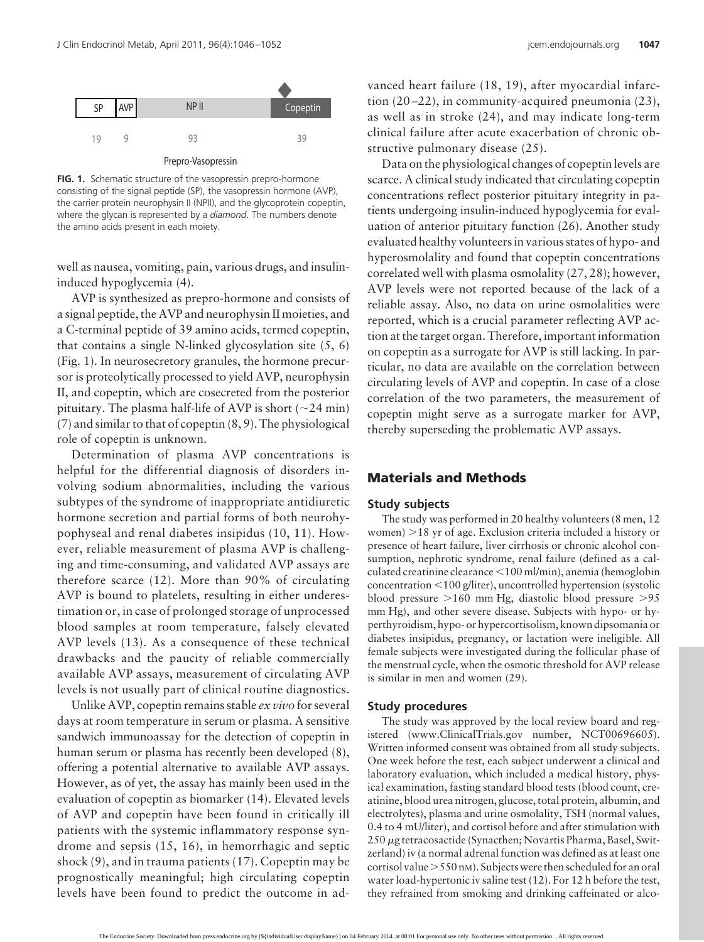

**FIG. 1.** Schematic structure of the vasopressin prepro-hormone consisting of the signal peptide (SP), the vasopressin hormone (AVP), the carrier protein neurophysin II (NPII), and the glycoprotein copeptin, where the glycan is represented by a *diamond*. The numbers denote the amino acids present in each moiety.

well as nausea, vomiting, pain, various drugs, and insulininduced hypoglycemia (4).

AVP is synthesized as prepro-hormone and consists of a signal peptide, the AVP and neurophysin II moieties, and a C-terminal peptide of 39 amino acids, termed copeptin, that contains a single N-linked glycosylation site (5, 6) (Fig. 1). In neurosecretory granules, the hormone precursor is proteolytically processed to yield AVP, neurophysin II, and copeptin, which are cosecreted from the posterior pituitary. The plasma half-life of AVP is short ( $\sim$ 24 min) (7) and similar to that of copeptin (8, 9). The physiological role of copeptin is unknown.

Determination of plasma AVP concentrations is helpful for the differential diagnosis of disorders involving sodium abnormalities, including the various subtypes of the syndrome of inappropriate antidiuretic hormone secretion and partial forms of both neurohypophyseal and renal diabetes insipidus (10, 11). However, reliable measurement of plasma AVP is challenging and time-consuming, and validated AVP assays are therefore scarce (12). More than 90% of circulating AVP is bound to platelets, resulting in either underestimation or, in case of prolonged storage of unprocessed blood samples at room temperature, falsely elevated AVP levels (13). As a consequence of these technical drawbacks and the paucity of reliable commercially available AVP assays, measurement of circulating AVP levels is not usually part of clinical routine diagnostics.

Unlike AVP, copeptin remains stable *ex vivo* for several days at room temperature in serum or plasma. A sensitive sandwich immunoassay for the detection of copeptin in human serum or plasma has recently been developed (8), offering a potential alternative to available AVP assays. However, as of yet, the assay has mainly been used in the evaluation of copeptin as biomarker (14). Elevated levels of AVP and copeptin have been found in critically ill patients with the systemic inflammatory response syndrome and sepsis (15, 16), in hemorrhagic and septic shock (9), and in trauma patients (17). Copeptin may be prognostically meaningful; high circulating copeptin levels have been found to predict the outcome in ad-

vanced heart failure (18, 19), after myocardial infarction (20 –22), in community-acquired pneumonia (23), as well as in stroke (24), and may indicate long-term clinical failure after acute exacerbation of chronic obstructive pulmonary disease (25).

Data on the physiological changes of copeptin levels are scarce. A clinical study indicated that circulating copeptin concentrations reflect posterior pituitary integrity in patients undergoing insulin-induced hypoglycemia for evaluation of anterior pituitary function (26). Another study evaluated healthy volunteers in various states of hypo- and hyperosmolality and found that copeptin concentrations correlated well with plasma osmolality (27, 28); however, AVP levels were not reported because of the lack of a reliable assay. Also, no data on urine osmolalities were reported, which is a crucial parameter reflecting AVP action at the target organ. Therefore, important information on copeptin as a surrogate for AVP is still lacking. In particular, no data are available on the correlation between circulating levels of AVP and copeptin. In case of a close correlation of the two parameters, the measurement of copeptin might serve as a surrogate marker for AVP, thereby superseding the problematic AVP assays.

# **Materials and Methods**

## **Study subjects**

The study was performed in 20 healthy volunteers (8 men, 12 women) -18 yr of age. Exclusion criteria included a history or presence of heart failure, liver cirrhosis or chronic alcohol consumption, nephrotic syndrome, renal failure (defined as a calculated creatinine clearance <100 ml/min), anemia (hemoglobin concentration <100 g/liter), uncontrolled hypertension (systolic blood pressure -160 mm Hg, diastolic blood pressure -95 mm Hg), and other severe disease. Subjects with hypo- or hyperthyroidism, hypo- or hypercortisolism, known dipsomania or diabetes insipidus, pregnancy, or lactation were ineligible. All female subjects were investigated during the follicular phase of the menstrual cycle, when the osmotic threshold for AVP release is similar in men and women (29).

#### **Study procedures**

The study was approved by the local review board and registered (www.ClinicalTrials.gov number, NCT00696605). Written informed consent was obtained from all study subjects. One week before the test, each subject underwent a clinical and laboratory evaluation, which included a medical history, physical examination, fasting standard blood tests (blood count, creatinine, blood urea nitrogen, glucose, total protein, albumin, and electrolytes), plasma and urine osmolality, TSH (normal values, 0.4 to 4 mU/liter), and cortisol before and after stimulation with 250 µg tetracosactide (Synacthen; Novartis Pharma, Basel, Switzerland) iv (a normal adrenal function was defined as at least one cortisol value -550 nM). Subjects were then scheduled for an oral water load-hypertonic iv saline test (12). For 12 h before the test, they refrained from smoking and drinking caffeinated or alco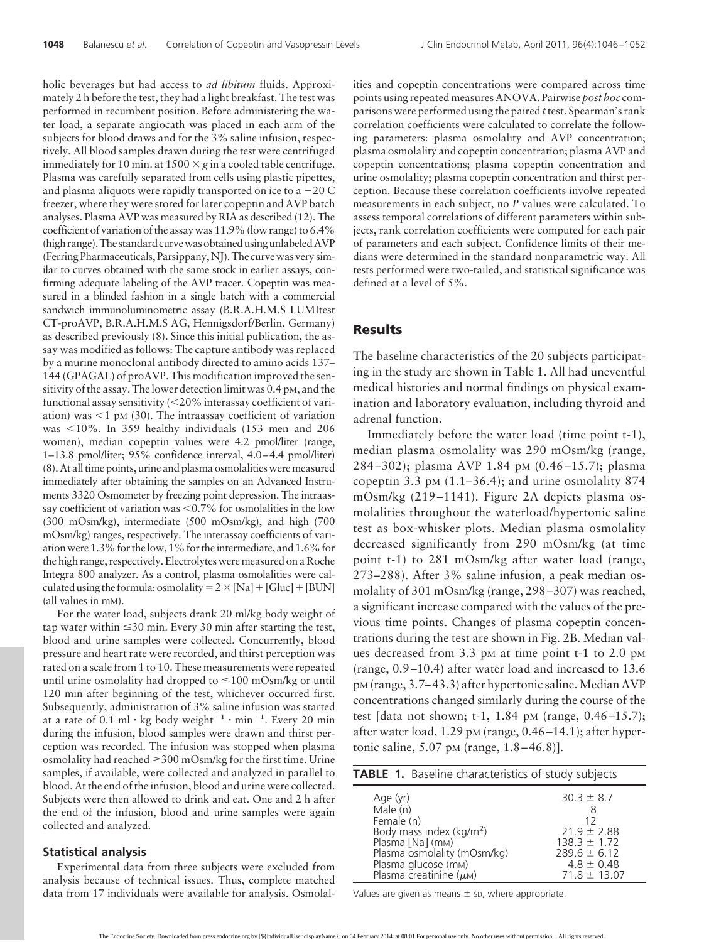holic beverages but had access to *ad libitum* fluids. Approximately 2 h before the test, they had a light breakfast. The test was performed in recumbent position. Before administering the water load, a separate angiocath was placed in each arm of the subjects for blood draws and for the 3% saline infusion, respectively. All blood samples drawn during the test were centrifuged immediately for 10 min. at  $1500 \times g$  in a cooled table centrifuge. Plasma was carefully separated from cells using plastic pipettes, and plasma aliquots were rapidly transported on ice to a  $-20$  C freezer, where they were stored for later copeptin and AVP batch analyses. Plasma AVP was measured by RIA as described (12). The coefficient of variation of the assay was 11.9% (low range) to 6.4% (high range).The standard curvewas obtained using unlabeledAVP (Ferring Pharmaceuticals, Parsippany,NJ).The curvewas very similar to curves obtained with the same stock in earlier assays, confirming adequate labeling of the AVP tracer. Copeptin was measured in a blinded fashion in a single batch with a commercial sandwich immunoluminometric assay (B.R.A.H.M.S LUMItest CT-proAVP, B.R.A.H.M.S AG, Hennigsdorf/Berlin, Germany) as described previously (8). Since this initial publication, the assay was modified as follows: The capture antibody was replaced by a murine monoclonal antibody directed to amino acids 137– 144 (GPAGAL) of proAVP. This modification improved the sensitivity of the assay. The lower detection limit was 0.4 pM, and the functional assay sensitivity  $\langle 20\%$  interassay coefficient of variation) was  $<$ 1 pM (30). The intraassay coefficient of variation was  $10\%$ . In 359 healthy individuals (153 men and 206 women), median copeptin values were 4.2 pmol/liter (range, 1–13.8 pmol/liter; 95% confidence interval, 4.0 –4.4 pmol/liter) (8). At all time points, urine and plasma osmolalities weremeasured immediately after obtaining the samples on an Advanced Instruments 3320 Osmometer by freezing point depression. The intraassay coefficient of variation was  $\leq 0.7\%$  for osmolalities in the low (300 mOsm/kg), intermediate (500 mOsm/kg), and high (700 mOsm/kg) ranges, respectively. The interassay coefficients of variationwere 1.3% for thelow, 1% for theintermediate, and 1.6% for the high range, respectively. Electrolytes were measured on a Roche Integra 800 analyzer. As a control, plasma osmolalities were calculated using the formula: osmolality =  $2 \times$  [Na] + [Gluc] + [BUN] (all values in mM).

For the water load, subjects drank 20 ml/kg body weight of  $\tan$  tap water within  $\leq$ 30 min. Every 30 min after starting the test, blood and urine samples were collected. Concurrently, blood pressure and heart rate were recorded, and thirst perception was rated on a scale from 1 to 10. These measurements were repeated until urine osmolality had dropped to  $\leq$ 100 mOsm/kg or until 120 min after beginning of the test, whichever occurred first. Subsequently, administration of 3% saline infusion was started at a rate of  $0.1$  ml  $\cdot$  kg body weight<sup>-1</sup>  $\cdot$  min<sup>-1</sup>. Every 20 min during the infusion, blood samples were drawn and thirst perception was recorded. The infusion was stopped when plasma osmolality had reached  $\geq$  300 mOsm/kg for the first time. Urine samples, if available, were collected and analyzed in parallel to blood. At the end of the infusion, blood and urine were collected. Subjects were then allowed to drink and eat. One and 2 h after the end of the infusion, blood and urine samples were again collected and analyzed.

#### **Statistical analysis**

Experimental data from three subjects were excluded from analysis because of technical issues. Thus, complete matched data from 17 individuals were available for analysis. Osmolal-

ities and copeptin concentrations were compared across time points using repeated measures ANOVA. Pairwise *post hoc* comparisons were performed using the paired *t*test. Spearman's rank correlation coefficients were calculated to correlate the following parameters: plasma osmolality and AVP concentration; plasma osmolality and copeptin concentration; plasma AVP and copeptin concentrations; plasma copeptin concentration and urine osmolality; plasma copeptin concentration and thirst perception. Because these correlation coefficients involve repeated measurements in each subject, no *P* values were calculated. To assess temporal correlations of different parameters within subjects, rank correlation coefficients were computed for each pair of parameters and each subject. Confidence limits of their medians were determined in the standard nonparametric way. All tests performed were two-tailed, and statistical significance was defined at a level of 5%.

### **Results**

The baseline characteristics of the 20 subjects participating in the study are shown in Table 1. All had uneventful medical histories and normal findings on physical examination and laboratory evaluation, including thyroid and adrenal function.

Immediately before the water load (time point t-1), median plasma osmolality was 290 mOsm/kg (range, 284 –302); plasma AVP 1.84 pM (0.46 –15.7); plasma copeptin 3.3 pm  $(1.1–36.4)$ ; and urine osmolality 874 mOsm/kg (219 –1141). Figure 2A depicts plasma osmolalities throughout the waterload/hypertonic saline test as box-whisker plots. Median plasma osmolality decreased significantly from 290 mOsm/kg (at time point t-1) to 281 mOsm/kg after water load (range, 273–288). After 3% saline infusion, a peak median osmolality of 301 mOsm/kg (range, 298 –307) was reached, a significant increase compared with the values of the previous time points. Changes of plasma copeptin concentrations during the test are shown in Fig. 2B. Median values decreased from 3.3 pm at time point t-1 to 2.0 pm (range, 0.9 –10.4) after water load and increased to 13.6 pM (range, 3.7–43.3) after hypertonic saline. Median AVP concentrations changed similarly during the course of the test [data not shown; t-1, 1.84 pM (range,  $0.46 - 15.7$ ); after water load,  $1.29$  pM (range,  $0.46 - 14.1$ ); after hypertonic saline,  $5.07$  pM (range,  $1.8 - 46.8$ )].

| <b>TABLE 1.</b> Baseline characteristics of study subjects                                                                                                                 |                                                                                                                        |
|----------------------------------------------------------------------------------------------------------------------------------------------------------------------------|------------------------------------------------------------------------------------------------------------------------|
| Age $(yr)$<br>Male (n)<br>Female (n)<br>Body mass index ( $kg/m2$ )<br>Plasma [Na] (mm)<br>Plasma osmolality (mOsm/kq)<br>Plasma glucose (mM)<br>Plasma creatinine $(\mu)$ | $30.3 \pm 8.7$<br>8<br>12<br>$21.9 \pm 2.88$<br>$1383 + 172$<br>$289.6 \pm 6.12$<br>$4.8 \pm 0.48$<br>$71.8 \pm 13.07$ |

Values are given as means  $\pm$  sp, where appropriate.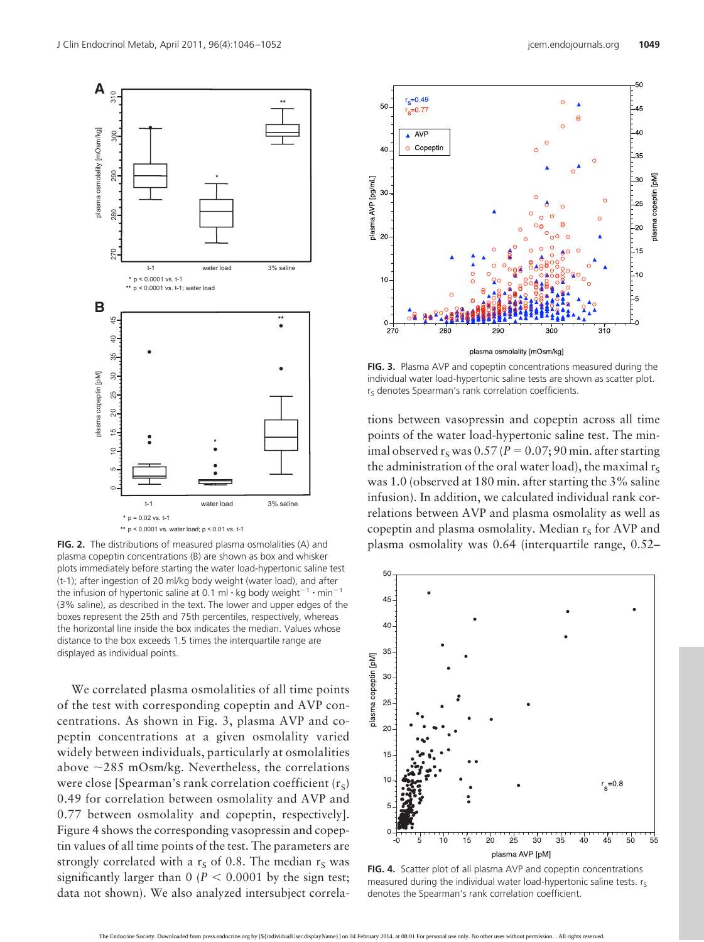

**FIG. 2.** The distributions of measured plasma osmolalities (A) and plasma copeptin concentrations (B) are shown as box and whisker plots immediately before starting the water load-hypertonic saline test (t-1); after ingestion of 20 ml/kg body weight (water load), and after the infusion of hypertonic saline at 0.1 ml  $\cdot$  kg body weight<sup>-1</sup>  $\cdot$  min<sup>-1</sup> (3% saline), as described in the text. The lower and upper edges of the boxes represent the 25th and 75th percentiles, respectively, whereas the horizontal line inside the box indicates the median. Values whose distance to the box exceeds 1.5 times the interquartile range are displayed as individual points.

We correlated plasma osmolalities of all time points of the test with corresponding copeptin and AVP concentrations. As shown in Fig. 3, plasma AVP and copeptin concentrations at a given osmolality varied widely between individuals, particularly at osmolalities above  $\sim$ 285 mOsm/kg. Nevertheless, the correlations were close [Spearman's rank correlation coefficient  $(r<sub>S</sub>)$ 0.49 for correlation between osmolality and AVP and 0.77 between osmolality and copeptin, respectively]. Figure 4 shows the corresponding vasopressin and copeptin values of all time points of the test. The parameters are strongly correlated with a  $r_S$  of 0.8. The median  $r_S$  was significantly larger than  $0$  ( $P < 0.0001$  by the sign test; data not shown). We also analyzed intersubject correla-



**FIG. 3.** Plasma AVP and copeptin concentrations measured during the individual water load-hypertonic saline tests are shown as scatter plot.  $r<sub>S</sub>$  denotes Spearman's rank correlation coefficients.

tions between vasopressin and copeptin across all time points of the water load-hypertonic saline test. The minimal observed  $r<sub>S</sub>$  was 0.57 ( $P = 0.07$ ; 90 min. after starting the administration of the oral water load), the maximal  $r_s$ was 1.0 (observed at 180 min. after starting the 3% saline infusion). In addition, we calculated individual rank correlations between AVP and plasma osmolality as well as copeptin and plasma osmolality. Median  $r<sub>S</sub>$  for AVP and plasma osmolality was 0.64 (interquartile range, 0.52–



**FIG. 4.** Scatter plot of all plasma AVP and copeptin concentrations measured during the individual water load-hypertonic saline tests.  $r_s$ denotes the Spearman's rank correlation coefficient.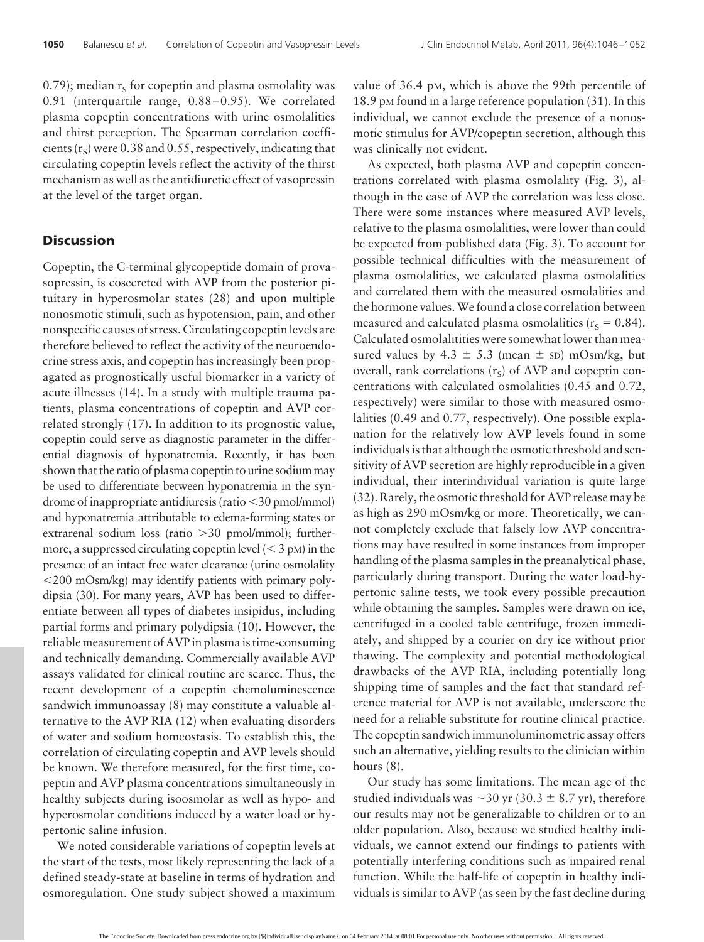0.79); median  $r_s$  for copeptin and plasma osmolality was 0.91 (interquartile range, 0.88–0.95). We correlated plasma copeptin concentrations with urine osmolalities and thirst perception. The Spearman correlation coefficients  $(r<sub>S</sub>)$  were 0.38 and 0.55, respectively, indicating that circulating copeptin levels reflect the activity of the thirst mechanism as well as the antidiuretic effect of vasopressin at the level of the target organ.

## **Discussion**

Copeptin, the C-terminal glycopeptide domain of provasopressin, is cosecreted with AVP from the posterior pituitary in hyperosmolar states (28) and upon multiple nonosmotic stimuli, such as hypotension, pain, and other nonspecific causes of stress. Circulating copeptin levels are therefore believed to reflect the activity of the neuroendocrine stress axis, and copeptin has increasingly been propagated as prognostically useful biomarker in a variety of acute illnesses (14). In a study with multiple trauma patients, plasma concentrations of copeptin and AVP correlated strongly (17). In addition to its prognostic value, copeptin could serve as diagnostic parameter in the differential diagnosis of hyponatremia. Recently, it has been shown that the ratio of plasma copeptin to urine sodium may be used to differentiate between hyponatremia in the syndrome of inappropriate antidiuresis (ratio 30 pmol/mmol) and hyponatremia attributable to edema-forming states or extrarenal sodium loss (ratio > 30 pmol/mmol); furthermore, a suppressed circulating copeptin level  $(< 3$  pM) in the presence of an intact free water clearance (urine osmolality 200 mOsm/kg) may identify patients with primary polydipsia (30). For many years, AVP has been used to differentiate between all types of diabetes insipidus, including partial forms and primary polydipsia (10). However, the reliable measurement of AVP in plasma is time-consuming and technically demanding. Commercially available AVP assays validated for clinical routine are scarce. Thus, the recent development of a copeptin chemoluminescence sandwich immunoassay (8) may constitute a valuable alternative to the AVP RIA (12) when evaluating disorders of water and sodium homeostasis. To establish this, the correlation of circulating copeptin and AVP levels should be known. We therefore measured, for the first time, copeptin and AVP plasma concentrations simultaneously in healthy subjects during isoosmolar as well as hypo- and hyperosmolar conditions induced by a water load or hypertonic saline infusion.

We noted considerable variations of copeptin levels at the start of the tests, most likely representing the lack of a defined steady-state at baseline in terms of hydration and osmoregulation. One study subject showed a maximum value of 36.4 pM, which is above the 99th percentile of 18.9 pm found in a large reference population (31). In this individual, we cannot exclude the presence of a nonosmotic stimulus for AVP/copeptin secretion, although this was clinically not evident.

As expected, both plasma AVP and copeptin concentrations correlated with plasma osmolality (Fig. 3), although in the case of AVP the correlation was less close. There were some instances where measured AVP levels, relative to the plasma osmolalities, were lower than could be expected from published data (Fig. 3). To account for possible technical difficulties with the measurement of plasma osmolalities, we calculated plasma osmolalities and correlated them with the measured osmolalities and the hormone values.We found a close correlation between measured and calculated plasma osmolalities ( $r_s = 0.84$ ). Calculated osmolalitities were somewhat lower than measured values by 4.3  $\pm$  5.3 (mean  $\pm$  sD) mOsm/kg, but overall, rank correlations  $(r<sub>s</sub>)$  of AVP and copeptin concentrations with calculated osmolalities (0.45 and 0.72, respectively) were similar to those with measured osmolalities (0.49 and 0.77, respectively). One possible explanation for the relatively low AVP levels found in some individuals is that although the osmotic threshold and sensitivity of AVP secretion are highly reproducible in a given individual, their interindividual variation is quite large (32). Rarely, the osmotic threshold for AVP release may be as high as 290 mOsm/kg or more. Theoretically, we cannot completely exclude that falsely low AVP concentrations may have resulted in some instances from improper handling of the plasma samples in the preanalytical phase, particularly during transport. During the water load-hypertonic saline tests, we took every possible precaution while obtaining the samples. Samples were drawn on ice, centrifuged in a cooled table centrifuge, frozen immediately, and shipped by a courier on dry ice without prior thawing. The complexity and potential methodological drawbacks of the AVP RIA, including potentially long shipping time of samples and the fact that standard reference material for AVP is not available, underscore the need for a reliable substitute for routine clinical practice. The copeptin sandwich immunoluminometric assay offers such an alternative, yielding results to the clinician within hours  $(8)$ .

Our study has some limitations. The mean age of the studied individuals was  $\sim$  30 yr (30.3  $\pm$  8.7 yr), therefore our results may not be generalizable to children or to an older population. Also, because we studied healthy individuals, we cannot extend our findings to patients with potentially interfering conditions such as impaired renal function. While the half-life of copeptin in healthy individuals is similar to AVP (as seen by the fast decline during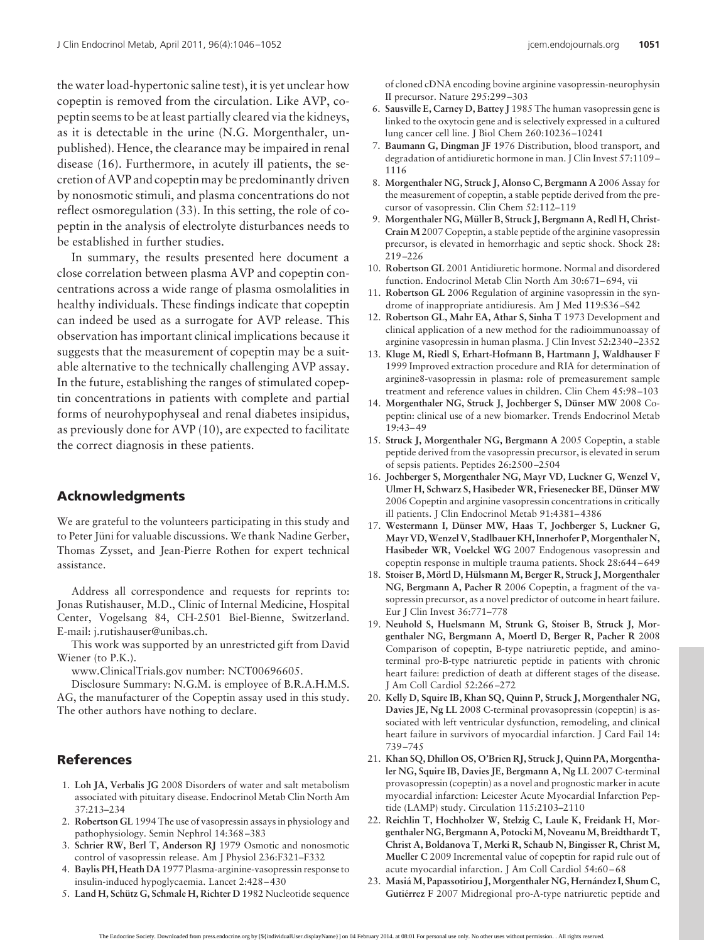the water load-hypertonic saline test), it is yet unclear how copeptin is removed from the circulation. Like AVP, copeptin seems to be at least partially cleared via the kidneys, as it is detectable in the urine (N.G. Morgenthaler, unpublished). Hence, the clearance may be impaired in renal disease (16). Furthermore, in acutely ill patients, the secretion of AVP and copeptin may be predominantly driven by nonosmotic stimuli, and plasma concentrations do not

reflect osmoregulation (33). In this setting, the role of copeptin in the analysis of electrolyte disturbances needs to be established in further studies.

In summary, the results presented here document a close correlation between plasma AVP and copeptin concentrations across a wide range of plasma osmolalities in healthy individuals. These findings indicate that copeptin can indeed be used as a surrogate for AVP release. This observation has important clinical implications because it suggests that the measurement of copeptin may be a suitable alternative to the technically challenging AVP assay. In the future, establishing the ranges of stimulated copeptin concentrations in patients with complete and partial forms of neurohypophyseal and renal diabetes insipidus, as previously done for AVP (10), are expected to facilitate the correct diagnosis in these patients.

## **Acknowledgments**

We are grateful to the volunteers participating in this study and to Peter Jüni for valuable discussions. We thank Nadine Gerber, Thomas Zysset, and Jean-Pierre Rothen for expert technical assistance.

Address all correspondence and requests for reprints to: Jonas Rutishauser, M.D., Clinic of Internal Medicine, Hospital Center, Vogelsang 84, CH-2501 Biel-Bienne, Switzerland. E-mail: j.rutishauser@unibas.ch.

This work was supported by an unrestricted gift from David Wiener (to P.K.).

www.ClinicalTrials.gov number: NCT00696605.

Disclosure Summary: N.G.M. is employee of B.R.A.H.M.S. AG, the manufacturer of the Copeptin assay used in this study. The other authors have nothing to declare.

# **References**

- 1. **Loh JA, Verbalis JG** 2008 Disorders of water and salt metabolism associated with pituitary disease. Endocrinol Metab Clin North Am 37:213–234
- 2. **Robertson GL** 1994 The use of vasopressin assays in physiology and pathophysiology. Semin Nephrol 14:368 –383
- 3. **Schrier RW, Berl T, Anderson RJ** 1979 Osmotic and nonosmotic control of vasopressin release. Am J Physiol 236:F321–F332
- 4. **Baylis PH, Heath DA** 1977 Plasma-arginine-vasopressin response to insulin-induced hypoglycaemia. Lancet 2:428 – 430
- 5. Land H, Schütz G, Schmale H, Richter D 1982 Nucleotide sequence

of cloned cDNA encoding bovine arginine vasopressin-neurophysin II precursor. Nature 295:299 –303

- 6. **Sausville E, Carney D, Battey J** 1985 The human vasopressin gene is linked to the oxytocin gene and is selectively expressed in a cultured lung cancer cell line. J Biol Chem 260:10236 –10241
- 7. **Baumann G, Dingman JF** 1976 Distribution, blood transport, and degradation of antidiuretic hormone in man. J Clin Invest 57:1109 – 1116
- 8. **Morgenthaler NG, Struck J, Alonso C, Bergmann A** 2006 Assay for the measurement of copeptin, a stable peptide derived from the precursor of vasopressin. Clin Chem 52:112–119
- 9. Morgenthaler NG, Müller B, Struck J, Bergmann A, Redl H, Christ-**Crain M** 2007 Copeptin, a stable peptide of the arginine vasopressin precursor, is elevated in hemorrhagic and septic shock. Shock 28: 219 –226
- 10. **Robertson GL** 2001 Antidiuretic hormone. Normal and disordered function. Endocrinol Metab Clin North Am 30:671-694, vii
- 11. **Robertson GL** 2006 Regulation of arginine vasopressin in the syndrome of inappropriate antidiuresis. Am J Med 119:S36 –S42
- 12. **Robertson GL, Mahr EA, Athar S, Sinha T** 1973 Development and clinical application of a new method for the radioimmunoassay of arginine vasopressin in human plasma. J Clin Invest 52:2340 –2352
- 13. **Kluge M, Riedl S, Erhart-Hofmann B, Hartmann J, Waldhauser F** 1999 Improved extraction procedure and RIA for determination of arginine8-vasopressin in plasma: role of premeasurement sample treatment and reference values in children. Clin Chem 45:98 –103
- 14. Morgenthaler NG, Struck J, Jochberger S, Dünser MW 2008 Copeptin: clinical use of a new biomarker. Trends Endocrinol Metab 19:43– 49
- 15. **Struck J, Morgenthaler NG, Bergmann A** 2005 Copeptin, a stable peptide derived from the vasopressin precursor, is elevated in serum of sepsis patients. Peptides 26:2500 –2504
- 16. **Jochberger S, Morgenthaler NG, Mayr VD, Luckner G, Wenzel V,** Ulmer H, Schwarz S, Hasibeder WR, Friesenecker BE, Dünser MW 2006 Copeptin and arginine vasopressin concentrations in critically ill patients. J Clin Endocrinol Metab 91:4381– 4386
- 17. Westermann I, Dünser MW, Haas T, Jochberger S, Luckner G, **Mayr VD,Wenzel V, Stadlbauer KH, Innerhofer P,Morgenthaler N, Hasibeder WR, Voelckel WG** 2007 Endogenous vasopressin and copeptin response in multiple trauma patients. Shock 28:644 – 649
- 18. Stoiser B, Mörtl D, Hülsmann M, Berger R, Struck J, Morgenthaler **NG, Bergmann A, Pacher R** 2006 Copeptin, a fragment of the vasopressin precursor, as a novel predictor of outcome in heart failure. Eur J Clin Invest 36:771–778
- 19. **Neuhold S, Huelsmann M, Strunk G, Stoiser B, Struck J, Morgenthaler NG, Bergmann A, Moertl D, Berger R, Pacher R** 2008 Comparison of copeptin, B-type natriuretic peptide, and aminoterminal pro-B-type natriuretic peptide in patients with chronic heart failure: prediction of death at different stages of the disease. J Am Coll Cardiol 52:266 –272
- 20. **Kelly D, Squire IB, Khan SQ, Quinn P, Struck J, Morgenthaler NG, Davies JE, Ng LL** 2008 C-terminal provasopressin (copeptin) is associated with left ventricular dysfunction, remodeling, and clinical heart failure in survivors of myocardial infarction. J Card Fail 14: 739 –745
- 21. **Khan SQ, Dhillon OS, O'Brien RJ, Struck J, Quinn PA, Morgenthaler NG, Squire IB, Davies JE, Bergmann A, Ng LL** 2007 C-terminal provasopressin (copeptin) as a novel and prognostic marker in acute myocardial infarction: Leicester Acute Myocardial Infarction Peptide (LAMP) study. Circulation 115:2103–2110
- 22. **Reichlin T, Hochholzer W, Stelzig C, Laule K, Freidank H, Morgenthaler NG, Bergmann A, PotockiM, NoveanuM, Breidthardt T, Christ A, Boldanova T, Merki R, Schaub N, Bingisser R, Christ M, Mueller C** 2009 Incremental value of copeptin for rapid rule out of acute myocardial infarction. J Am Coll Cardiol 54:60 – 68
- 23. Masiá M, Papassotiriou J, Morgenthaler NG, Hernández I, Shum C, Gutiérrez F 2007 Midregional pro-A-type natriuretic peptide and